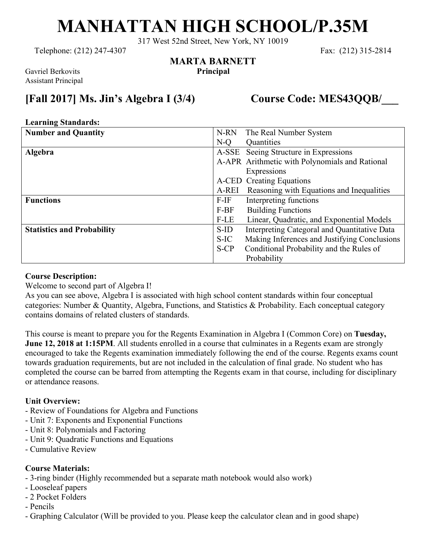# **MANHATTAN HIGH SCHOOL/P.35M**

317 West 52nd Street, New York, NY 10019

**MARTA BARNETT**

Telephone: (212) 247-4307 Fax: (212) 315-2814

Gavriel Berkovits **Principal** Assistant Principal

## **[Fall 2017] Ms. Jin's Algebra I (3/4) Course Code: MES43QQB/\_\_\_**

#### **Learning Standards:**

| <b>Number and Quantity</b>        | The Real Number System<br>N-RN                          |
|-----------------------------------|---------------------------------------------------------|
|                                   | Quantities<br>$N-O$                                     |
| <b>Algebra</b>                    | A-SSE Seeing Structure in Expressions                   |
|                                   | A-APR Arithmetic with Polynomials and Rational          |
|                                   | Expressions                                             |
|                                   | A-CED Creating Equations                                |
|                                   | Reasoning with Equations and Inequalities<br>A-REI      |
| <b>Functions</b>                  | $F-IF$<br>Interpreting functions                        |
|                                   | <b>Building Functions</b><br>$F-BF$                     |
|                                   | Linear, Quadratic, and Exponential Models<br>$F$ -LE    |
| <b>Statistics and Probability</b> | Interpreting Categoral and Quantitative Data<br>$S$ -ID |
|                                   | Making Inferences and Justifying Conclusions<br>S-IC    |
|                                   | Conditional Probability and the Rules of<br>$S-CP$      |
|                                   | Probability                                             |

#### **Course Description:**

Welcome to second part of Algebra I!

As you can see above, Algebra I is associated with high school content standards within four conceptual categories: Number & Quantity, Algebra, Functions, and Statistics & Probability. Each conceptual category contains domains of related clusters of standards.

This course is meant to prepare you for the Regents Examination in Algebra I (Common Core) on **Tuesday, June 12, 2018 at 1:15PM**. All students enrolled in a course that culminates in a Regents exam are strongly encouraged to take the Regents examination immediately following the end of the course. Regents exams count towards graduation requirements, but are not included in the calculation of final grade. No student who has completed the course can be barred from attempting the Regents exam in that course, including for disciplinary or attendance reasons.

#### **Unit Overview:**

- Review of Foundations for Algebra and Functions
- Unit 7: Exponents and Exponential Functions
- Unit 8: Polynomials and Factoring
- Unit 9: Quadratic Functions and Equations
- Cumulative Review

#### **Course Materials:**

- 3-ring binder (Highly recommended but a separate math notebook would also work)
- Looseleaf papers
- 2 Pocket Folders
- Pencils
- Graphing Calculator (Will be provided to you. Please keep the calculator clean and in good shape)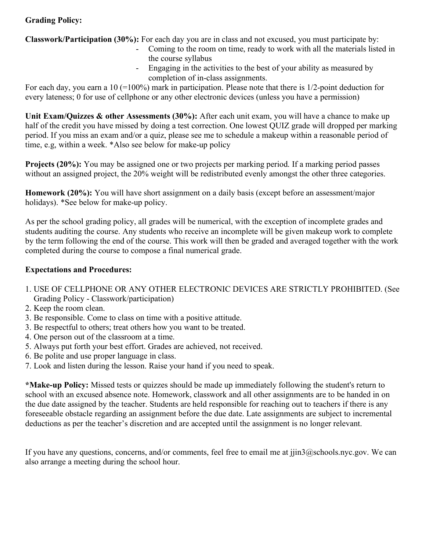### **Grading Policy:**

**Classwork/Participation (30%):** For each day you are in class and not excused, you must participate by:

- Coming to the room on time, ready to work with all the materials listed in the course syllabus
- Engaging in the activities to the best of your ability as measured by completion of in-class assignments.

For each day, you earn a 10 (=100%) mark in participation. Please note that there is 1/2-point deduction for every lateness; 0 for use of cellphone or any other electronic devices (unless you have a permission)

**Unit Exam/Quizzes & other Assessments (30%):** After each unit exam, you will have a chance to make up half of the credit you have missed by doing a test correction. One lowest QUIZ grade will dropped per marking period. If you miss an exam and/or a quiz, please see me to schedule a makeup within a reasonable period of time, e.g, within a week. \*Also see below for make-up policy

**Projects (20%):** You may be assigned one or two projects per marking period. If a marking period passes without an assigned project, the 20% weight will be redistributed evenly amongst the other three categories.

**Homework (20%):** You will have short assignment on a daily basis (except before an assessment/major holidays). \*See below for make-up policy.

As per the school grading policy, all grades will be numerical, with the exception of incomplete grades and students auditing the course. Any students who receive an incomplete will be given makeup work to complete by the term following the end of the course. This work will then be graded and averaged together with the work completed during the course to compose a final numerical grade.

#### **Expectations and Procedures:**

- 1. USE OF CELLPHONE OR ANY OTHER ELECTRONIC DEVICES ARE STRICTLY PROHIBITED. (See Grading Policy - Classwork/participation)
- 2. Keep the room clean.
- 3. Be responsible. Come to class on time with a positive attitude.
- 3. Be respectful to others; treat others how you want to be treated.
- 4. One person out of the classroom at a time.
- 5. Always put forth your best effort. Grades are achieved, not received.
- 6. Be polite and use proper language in class.
- 7. Look and listen during the lesson. Raise your hand if you need to speak.

**\*Make-up Policy:** Missed tests or quizzes should be made up immediately following the student's return to school with an excused absence note. Homework, classwork and all other assignments are to be handed in on the due date assigned by the teacher. Students are held responsible for reaching out to teachers if there is any foreseeable obstacle regarding an assignment before the due date. Late assignments are subject to incremental deductions as per the teacher's discretion and are accepted until the assignment is no longer relevant.

If you have any questions, concerns, and/or comments, feel free to email me at jjin3@schools.nyc.gov. We can also arrange a meeting during the school hour.